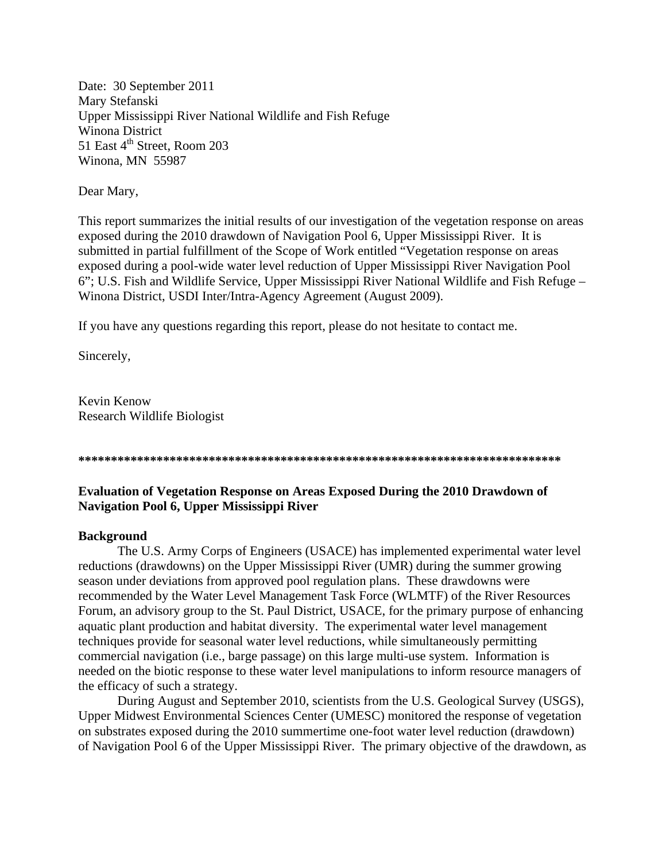Date: 30 September 2011 Mary Stefanski Upper Mississippi River National Wildlife and Fish Refuge Winona District 51 East  $4<sup>th</sup>$  Street, Room 203 Winona, MN 55987

Dear Mary,

This report summarizes the initial results of our investigation of the vegetation response on areas exposed during the 2010 drawdown of Navigation Pool 6, Upper Mississippi River. It is submitted in partial fulfillment of the Scope of Work entitled "Vegetation response on areas exposed during a pool-wide water level reduction of Upper Mississippi River Navigation Pool 6"; U.S. Fish and Wildlife Service, Upper Mississippi River National Wildlife and Fish Refuge – Winona District, USDI Inter/Intra-Agency Agreement (August 2009).

If you have any questions regarding this report, please do not hesitate to contact me.

Sincerely,

Kevin Kenow Research Wildlife Biologist

**\*\*\*\*\*\*\*\*\*\*\*\*\*\*\*\*\*\*\*\*\*\*\*\*\*\*\*\*\*\*\*\*\*\*\*\*\*\*\*\*\*\*\*\*\*\*\*\*\*\*\*\*\*\*\*\*\*\*\*\*\*\*\*\*\*\*\*\*\*\*\*\*\*\*** 

# **Evaluation of Vegetation Response on Areas Exposed During the 2010 Drawdown of Navigation Pool 6, Upper Mississippi River**

## **Background**

The U.S. Army Corps of Engineers (USACE) has implemented experimental water level reductions (drawdowns) on the Upper Mississippi River (UMR) during the summer growing season under deviations from approved pool regulation plans. These drawdowns were recommended by the Water Level Management Task Force (WLMTF) of the River Resources Forum, an advisory group to the St. Paul District, USACE, for the primary purpose of enhancing aquatic plant production and habitat diversity. The experimental water level management techniques provide for seasonal water level reductions, while simultaneously permitting commercial navigation (i.e., barge passage) on this large multi-use system. Information is needed on the biotic response to these water level manipulations to inform resource managers of the efficacy of such a strategy.

During August and September 2010, scientists from the U.S. Geological Survey (USGS), Upper Midwest Environmental Sciences Center (UMESC) monitored the response of vegetation on substrates exposed during the 2010 summertime one-foot water level reduction (drawdown) of Navigation Pool 6 of the Upper Mississippi River. The primary objective of the drawdown, as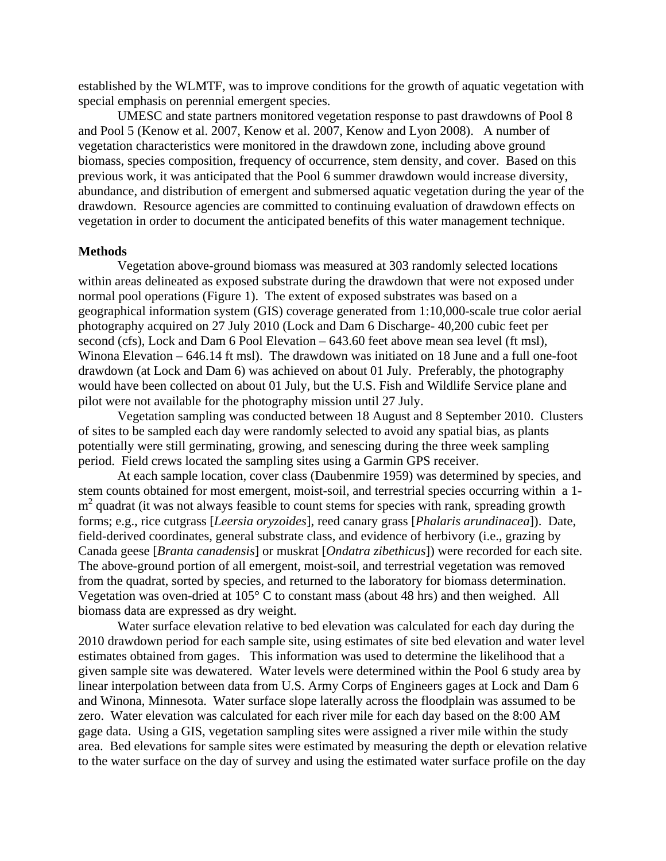established by the WLMTF, was to improve conditions for the growth of aquatic vegetation with special emphasis on perennial emergent species.

UMESC and state partners monitored vegetation response to past drawdowns of Pool 8 and Pool 5 (Kenow et al. 2007, Kenow et al. 2007, Kenow and Lyon 2008). A number of vegetation characteristics were monitored in the drawdown zone, including above ground biomass, species composition, frequency of occurrence, stem density, and cover. Based on this previous work, it was anticipated that the Pool 6 summer drawdown would increase diversity, abundance, and distribution of emergent and submersed aquatic vegetation during the year of the drawdown. Resource agencies are committed to continuing evaluation of drawdown effects on vegetation in order to document the anticipated benefits of this water management technique.

#### **Methods**

Vegetation above-ground biomass was measured at 303 randomly selected locations within areas delineated as exposed substrate during the drawdown that were not exposed under normal pool operations (Figure 1). The extent of exposed substrates was based on a geographical information system (GIS) coverage generated from 1:10,000-scale true color aerial photography acquired on 27 July 2010 (Lock and Dam 6 Discharge- 40,200 cubic feet per second (cfs), Lock and Dam 6 Pool Elevation – 643.60 feet above mean sea level (ft msl), Winona Elevation – 646.14 ft msl). The drawdown was initiated on 18 June and a full one-foot drawdown (at Lock and Dam 6) was achieved on about 01 July. Preferably, the photography would have been collected on about 01 July, but the U.S. Fish and Wildlife Service plane and pilot were not available for the photography mission until 27 July.

Vegetation sampling was conducted between 18 August and 8 September 2010. Clusters of sites to be sampled each day were randomly selected to avoid any spatial bias, as plants potentially were still germinating, growing, and senescing during the three week sampling period. Field crews located the sampling sites using a Garmin GPS receiver.

At each sample location, cover class (Daubenmire 1959) was determined by species, and stem counts obtained for most emergent, moist-soil, and terrestrial species occurring within a 1 m<sup>2</sup> quadrat (it was not always feasible to count stems for species with rank, spreading growth forms; e.g., rice cutgrass [*Leersia oryzoides*], reed canary grass [*Phalaris arundinacea*]). Date, field-derived coordinates, general substrate class, and evidence of herbivory (i.e., grazing by Canada geese [*Branta canadensis*] or muskrat [*Ondatra zibethicus*]) were recorded for each site. The above-ground portion of all emergent, moist-soil, and terrestrial vegetation was removed from the quadrat, sorted by species, and returned to the laboratory for biomass determination. Vegetation was oven-dried at 105° C to constant mass (about 48 hrs) and then weighed. All biomass data are expressed as dry weight.

Water surface elevation relative to bed elevation was calculated for each day during the 2010 drawdown period for each sample site, using estimates of site bed elevation and water level estimates obtained from gages. This information was used to determine the likelihood that a given sample site was dewatered. Water levels were determined within the Pool 6 study area by linear interpolation between data from U.S. Army Corps of Engineers gages at Lock and Dam 6 and Winona, Minnesota. Water surface slope laterally across the floodplain was assumed to be zero. Water elevation was calculated for each river mile for each day based on the 8:00 AM gage data. Using a GIS, vegetation sampling sites were assigned a river mile within the study area. Bed elevations for sample sites were estimated by measuring the depth or elevation relative to the water surface on the day of survey and using the estimated water surface profile on the day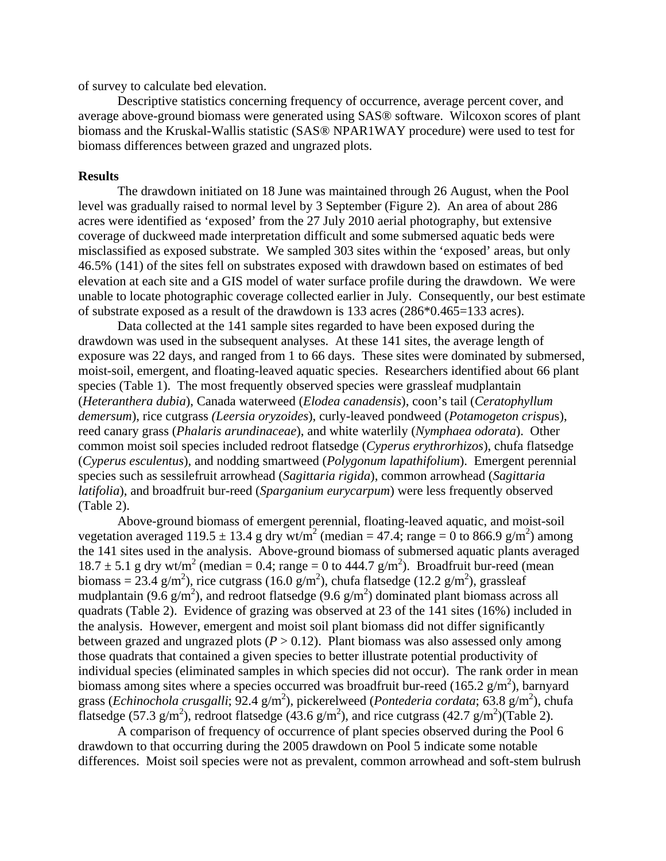of survey to calculate bed elevation.

Descriptive statistics concerning frequency of occurrence, average percent cover, and average above-ground biomass were generated using SAS® software. Wilcoxon scores of plant biomass and the Kruskal-Wallis statistic (SAS® NPAR1WAY procedure) were used to test for biomass differences between grazed and ungrazed plots.

#### **Results**

The drawdown initiated on 18 June was maintained through 26 August, when the Pool level was gradually raised to normal level by 3 September (Figure 2). An area of about 286 acres were identified as 'exposed' from the 27 July 2010 aerial photography, but extensive coverage of duckweed made interpretation difficult and some submersed aquatic beds were misclassified as exposed substrate. We sampled 303 sites within the 'exposed' areas, but only 46.5% (141) of the sites fell on substrates exposed with drawdown based on estimates of bed elevation at each site and a GIS model of water surface profile during the drawdown. We were unable to locate photographic coverage collected earlier in July. Consequently, our best estimate of substrate exposed as a result of the drawdown is 133 acres (286\*0.465=133 acres).

Data collected at the 141 sample sites regarded to have been exposed during the drawdown was used in the subsequent analyses. At these 141 sites, the average length of exposure was 22 days, and ranged from 1 to 66 days. These sites were dominated by submersed, moist-soil, emergent, and floating-leaved aquatic species. Researchers identified about 66 plant species (Table 1). The most frequently observed species were grassleaf mudplantain (*Heteranthera dubia*), Canada waterweed (*Elodea canadensis*), coon's tail (*Ceratophyllum demersum*), rice cutgrass *(Leersia oryzoides*), curly-leaved pondweed (*Potamogeton crispu*s), reed canary grass (*Phalaris arundinaceae*), and white waterlily (*Nymphaea odorata*). Other common moist soil species included redroot flatsedge (*Cyperus erythrorhizos*), chufa flatsedge (*Cyperus esculentus*), and nodding smartweed (*Polygonum lapathifolium*). Emergent perennial species such as sessilefruit arrowhead (*Sagittaria rigida*), common arrowhead (*Sagittaria latifolia*), and broadfruit bur-reed (*Sparganium eurycarpum*) were less frequently observed (Table 2).

Above-ground biomass of emergent perennial, floating-leaved aquatic, and moist-soil vegetation averaged 119.5  $\pm$  13.4 g dry wt/m<sup>2</sup> (median = 47.4; range = 0 to 866.9 g/m<sup>2</sup>) among the 141 sites used in the analysis. Above-ground biomass of submersed aquatic plants averaged  $18.7 \pm 5.1$  g dry wt/m<sup>2</sup> (median = 0.4; range = 0 to 444.7 g/m<sup>2</sup>). Broadfruit bur-reed (mean biomass = 23.4 g/m<sup>2</sup>), rice cutgrass (16.0 g/m<sup>2</sup>), chufa flatsedge (12.2 g/m<sup>2</sup>), grassleaf mudplantain (9.6  $g/m^2$ ), and redroot flatsedge (9.6  $g/m^2$ ) dominated plant biomass across all quadrats (Table 2). Evidence of grazing was observed at 23 of the 141 sites (16%) included in the analysis. However, emergent and moist soil plant biomass did not differ significantly between grazed and ungrazed plots  $(P > 0.12)$ . Plant biomass was also assessed only among those quadrats that contained a given species to better illustrate potential productivity of individual species (eliminated samples in which species did not occur). The rank order in mean biomass among sites where a species occurred was broadfruit bur-reed (165.2  $g/m<sup>2</sup>$ ), barnyard grass (*Echinochola crusgalli*; 92.4 g/m<sup>2</sup>), pickerelweed (*Pontederia cordata*; 63.8 g/m<sup>2</sup>), chufa flatsedge (57.3 g/m<sup>2</sup>), redroot flatsedge (43.6 g/m<sup>2</sup>), and rice cutgrass (42.7 g/m<sup>2</sup>)(Table 2).

A comparison of frequency of occurrence of plant species observed during the Pool 6 drawdown to that occurring during the 2005 drawdown on Pool 5 indicate some notable differences. Moist soil species were not as prevalent, common arrowhead and soft-stem bulrush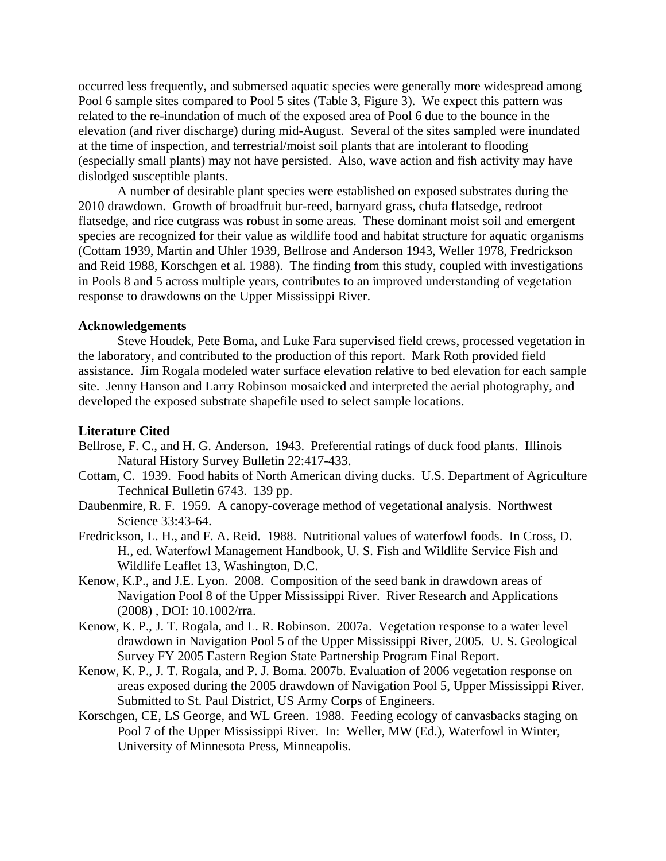occurred less frequently, and submersed aquatic species were generally more widespread among Pool 6 sample sites compared to Pool 5 sites (Table 3, Figure 3). We expect this pattern was related to the re-inundation of much of the exposed area of Pool 6 due to the bounce in the elevation (and river discharge) during mid-August. Several of the sites sampled were inundated at the time of inspection, and terrestrial/moist soil plants that are intolerant to flooding (especially small plants) may not have persisted. Also, wave action and fish activity may have dislodged susceptible plants.

A number of desirable plant species were established on exposed substrates during the 2010 drawdown. Growth of broadfruit bur-reed, barnyard grass, chufa flatsedge, redroot flatsedge, and rice cutgrass was robust in some areas. These dominant moist soil and emergent species are recognized for their value as wildlife food and habitat structure for aquatic organisms (Cottam 1939, Martin and Uhler 1939, Bellrose and Anderson 1943, Weller 1978, Fredrickson and Reid 1988, Korschgen et al. 1988). The finding from this study, coupled with investigations in Pools 8 and 5 across multiple years, contributes to an improved understanding of vegetation response to drawdowns on the Upper Mississippi River.

### **Acknowledgements**

Steve Houdek, Pete Boma, and Luke Fara supervised field crews, processed vegetation in the laboratory, and contributed to the production of this report. Mark Roth provided field assistance. Jim Rogala modeled water surface elevation relative to bed elevation for each sample site. Jenny Hanson and Larry Robinson mosaicked and interpreted the aerial photography, and developed the exposed substrate shapefile used to select sample locations.

#### **Literature Cited**

- Bellrose, F. C., and H. G. Anderson. 1943. Preferential ratings of duck food plants. Illinois Natural History Survey Bulletin 22:417-433.
- Cottam, C. 1939. Food habits of North American diving ducks. U.S. Department of Agriculture Technical Bulletin 6743. 139 pp.
- Daubenmire, R. F. 1959. A canopy-coverage method of vegetational analysis. Northwest Science 33:43-64.
- Fredrickson, L. H., and F. A. Reid. 1988. Nutritional values of waterfowl foods. In Cross, D. H., ed. Waterfowl Management Handbook, U. S. Fish and Wildlife Service Fish and Wildlife Leaflet 13, Washington, D.C.
- Kenow, K.P., and J.E. Lyon. 2008. Composition of the seed bank in drawdown areas of Navigation Pool 8 of the Upper Mississippi River. River Research and Applications (2008) , DOI: 10.1002/rra.
- Kenow, K. P., J. T. Rogala, and L. R. Robinson. 2007a. Vegetation response to a water level drawdown in Navigation Pool 5 of the Upper Mississippi River, 2005. U. S. Geological Survey FY 2005 Eastern Region State Partnership Program Final Report.
- Kenow, K. P., J. T. Rogala, and P. J. Boma. 2007b. Evaluation of 2006 vegetation response on areas exposed during the 2005 drawdown of Navigation Pool 5, Upper Mississippi River. Submitted to St. Paul District, US Army Corps of Engineers.
- Korschgen, CE, LS George, and WL Green. 1988. Feeding ecology of canvasbacks staging on Pool 7 of the Upper Mississippi River. In: Weller, MW (Ed.), Waterfowl in Winter, University of Minnesota Press, Minneapolis.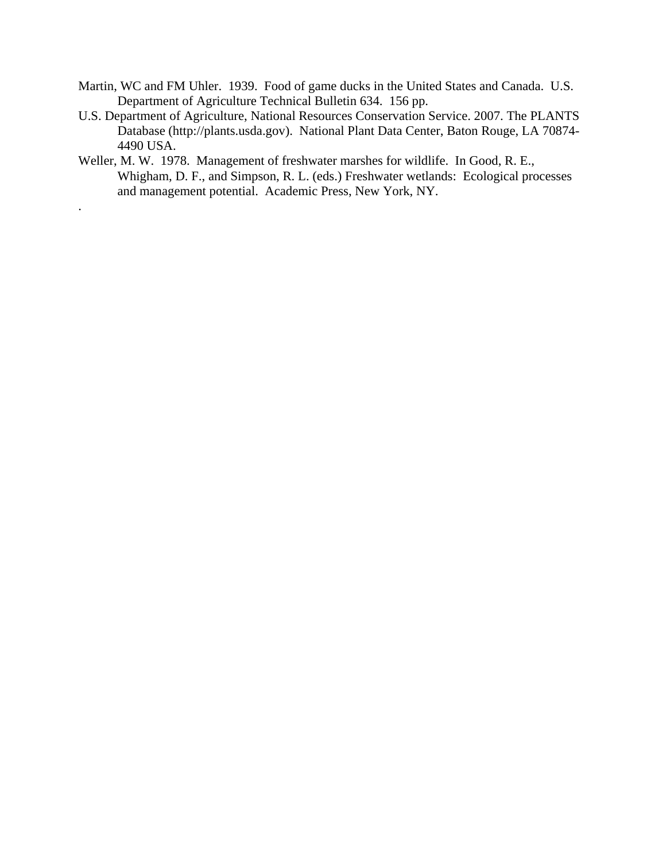- Martin, WC and FM Uhler. 1939. Food of game ducks in the United States and Canada. U.S. Department of Agriculture Technical Bulletin 634. 156 pp.
- U.S. Department of Agriculture, National Resources Conservation Service. 2007. The PLANTS Database (http://plants.usda.gov). National Plant Data Center, Baton Rouge, LA 70874- 4490 USA.
- Weller, M. W. 1978. Management of freshwater marshes for wildlife. In Good, R. E., Whigham, D. F., and Simpson, R. L. (eds.) Freshwater wetlands: Ecological processes and management potential. Academic Press, New York, NY.

.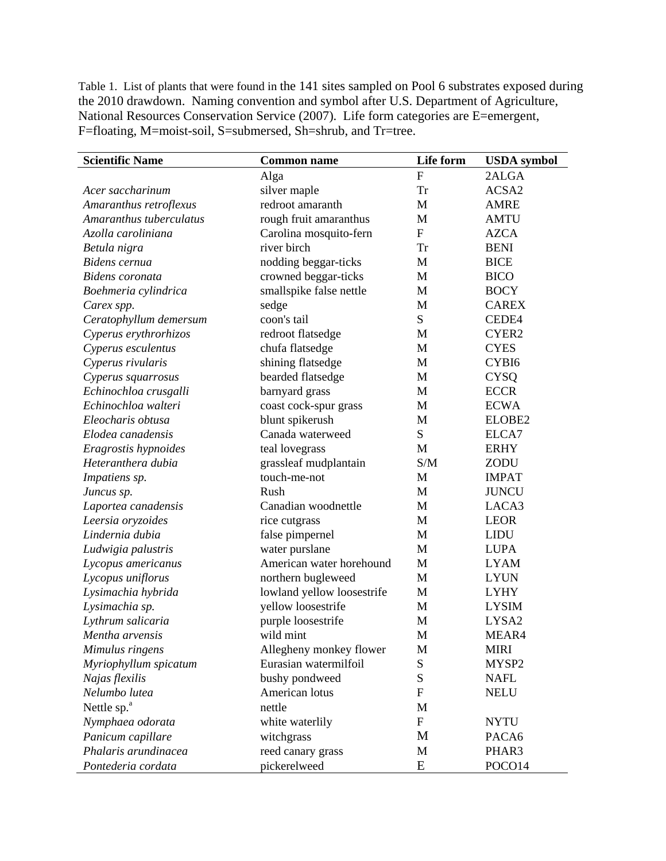Table 1. List of plants that were found in the 141 sites sampled on Pool 6 substrates exposed during the 2010 drawdown. Naming convention and symbol after U.S. Department of Agriculture, National Resources Conservation Service (2007). Life form categories are E=emergent, F=floating, M=moist-soil, S=submersed, Sh=shrub, and Tr=tree.

| <b>Scientific Name</b>  | <b>Common name</b>         | Life form      | <b>USDA</b> symbol |
|-------------------------|----------------------------|----------------|--------------------|
|                         | Alga                       | $\overline{F}$ | 2ALGA              |
| Acer saccharinum        | silver maple               | <b>Tr</b>      | ACSA2              |
| Amaranthus retroflexus  | redroot amaranth           | M              | <b>AMRE</b>        |
| Amaranthus tuberculatus | rough fruit amaranthus     | $\mathbf{M}$   | <b>AMTU</b>        |
| Azolla caroliniana      | Carolina mosquito-fern     | $\mathbf{F}$   | <b>AZCA</b>        |
| Betula nigra            | river birch                | <b>Tr</b>      | <b>BENI</b>        |
| Bidens cernua           | nodding beggar-ticks       | M              | <b>BICE</b>        |
| Bidens coronata         | crowned beggar-ticks       | M              | <b>BICO</b>        |
| Boehmeria cylindrica    | smallspike false nettle    | M              | <b>BOCY</b>        |
| Carex spp.              | sedge                      | M              | <b>CAREX</b>       |
| Ceratophyllum demersum  | coon's tail                | S              | CEDE4              |
| Cyperus erythrorhizos   | redroot flatsedge          | M              | CYER2              |
| Cyperus esculentus      | chufa flatsedge            | M              | <b>CYES</b>        |
| Cyperus rivularis       | shining flatsedge          | M              | CYBI6              |
| Cyperus squarrosus      | bearded flatsedge          | M              | <b>CYSQ</b>        |
| Echinochloa crusgalli   | barnyard grass             | M              | <b>ECCR</b>        |
| Echinochloa walteri     | coast cock-spur grass      | M              | <b>ECWA</b>        |
| Eleocharis obtusa       | blunt spikerush            | M              | ELOBE2             |
| Elodea canadensis       | Canada waterweed           | S              | ELCA7              |
| Eragrostis hypnoides    | teal lovegrass             | M              | <b>ERHY</b>        |
| Heteranthera dubia      | grassleaf mudplantain      | S/M            | ZODU               |
| Impatiens sp.           | touch-me-not               | M              | <b>IMPAT</b>       |
| Juncus sp.              | Rush                       | M              | <b>JUNCU</b>       |
| Laportea canadensis     | Canadian woodnettle        | M              | LACA3              |
| Leersia oryzoides       | rice cutgrass              | M              | <b>LEOR</b>        |
| Lindernia dubia         | false pimpernel            | M              | <b>LIDU</b>        |
| Ludwigia palustris      | water purslane             | M              | <b>LUPA</b>        |
| Lycopus americanus      | American water horehound   | M              | <b>LYAM</b>        |
| Lycopus uniflorus       | northern bugleweed         | M              | <b>LYUN</b>        |
| Lysimachia hybrida      | lowland yellow loosestrife | M              | <b>LYHY</b>        |
| Lysimachia sp.          | yellow loosestrife         | M              | <b>LYSIM</b>       |
| Lythrum salicaria       | purple loosestrife         | M              | LYSA2              |
| Mentha arvensis         | wild mint                  | M              | MEAR4              |
| Mimulus ringens         | Allegheny monkey flower    | M              | <b>MIRI</b>        |
| Myriophyllum spicatum   | Eurasian watermilfoil      | ${\bf S}$      | MYSP2              |
| Najas flexilis          | bushy pondweed             | ${\bf S}$      | <b>NAFL</b>        |
| Nelumbo lutea           | American lotus             | ${\rm F}$      | <b>NELU</b>        |
| Nettle sp. <sup>a</sup> | nettle                     | $\mathbf M$    |                    |
| Nymphaea odorata        | white waterlily            | ${\bf F}$      | <b>NYTU</b>        |
| Panicum capillare       | witchgrass                 | M              | PACA6              |
| Phalaris arundinacea    | reed canary grass          | M              | PHAR3              |
| Pontederia cordata      | pickerelweed               | E              | POCO14             |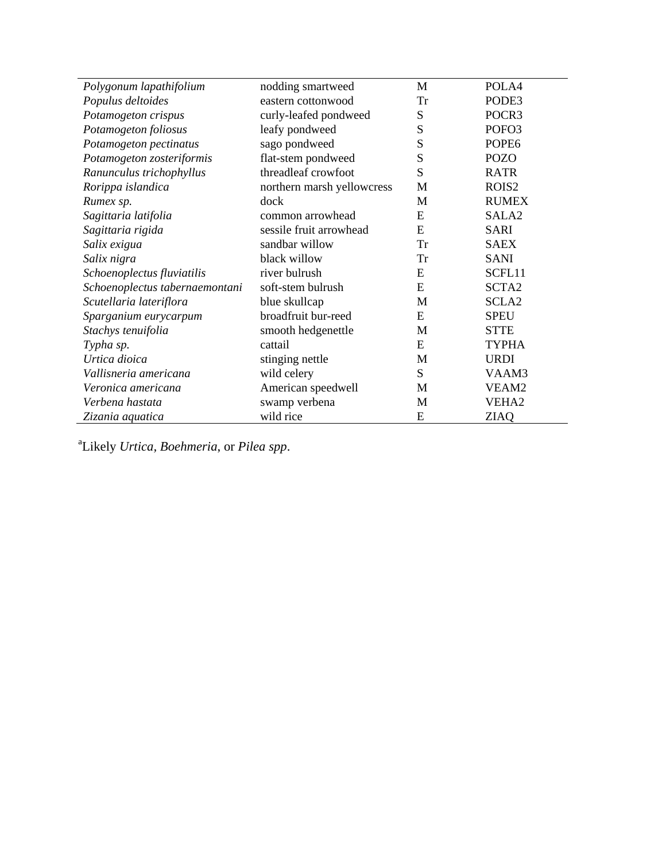| Polygonum lapathifolium        | nodding smartweed          | M         | POLA4             |
|--------------------------------|----------------------------|-----------|-------------------|
| Populus deltoides              | eastern cottonwood         | <b>Tr</b> | PODE3             |
| Potamogeton crispus            | curly-leafed pondweed      | S         | POCR3             |
| Potamogeton foliosus           | leafy pondweed             | S         | POFO3             |
| Potamogeton pectinatus         | sago pondweed              | S         | POPE <sub>6</sub> |
| Potamogeton zosteriformis      | flat-stem pondweed         | S         | <b>POZO</b>       |
| Ranunculus trichophyllus       | threadleaf crowfoot        | S         | <b>RATR</b>       |
| Rorippa islandica              | northern marsh yellowcress | M         | ROIS <sub>2</sub> |
| Rumex sp.                      | dock                       | M         | <b>RUMEX</b>      |
| Sagittaria latifolia           | common arrowhead           | E         | SALA <sub>2</sub> |
| Sagittaria rigida              | sessile fruit arrowhead    | E         | <b>SARI</b>       |
| Salix exigua                   | sandbar willow             | <b>Tr</b> | <b>SAEX</b>       |
| Salix nigra                    | black willow               | <b>Tr</b> | <b>SANI</b>       |
| Schoenoplectus fluviatilis     | river bulrush              | E         | SCFL11            |
| Schoenoplectus tabernaemontani | soft-stem bulrush          | E         | SCTA <sub>2</sub> |
| Scutellaria lateriflora        | blue skullcap              | M         | SCLA <sub>2</sub> |
| Sparganium eurycarpum          | broadfruit bur-reed        | E         | <b>SPEU</b>       |
| Stachys tenuifolia             | smooth hedgenettle         | M         | <b>STTE</b>       |
| Typha sp.                      | cattail                    | E         | <b>TYPHA</b>      |
| Urtica dioica                  | stinging nettle            | M         | <b>URDI</b>       |
| Vallisneria americana          | wild celery                | S         | VAAM3             |
| Veronica americana             | American speedwell         | M         | VEAM2             |
| Verbena hastata                | swamp verbena              | M         | VEHA <sub>2</sub> |
| Zizania aquatica               | wild rice                  | E         | <b>ZIAQ</b>       |

a Likely *Urtica, Boehmeria*, or *Pilea spp*.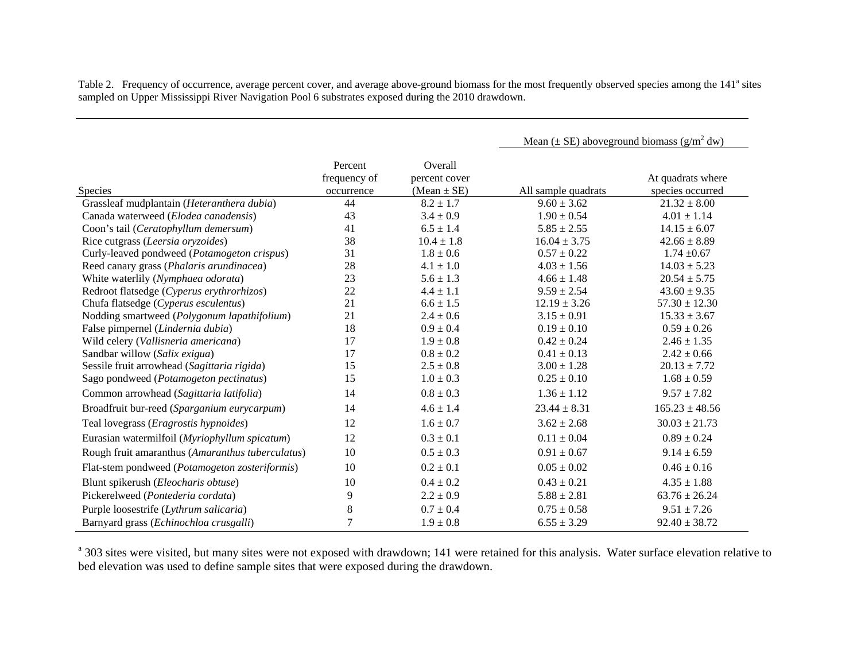Table 2. Frequency of occurrence, average percent cover, and average above-ground biomass for the most frequently observed species among the 141<sup>a</sup> sites sampled on Upper Mississippi River Navigation Pool 6 substrates exposed during the 2010 drawdown.

|                                                  |                                       |                                             | Mean ( $\pm$ SE) aboveground biomass ( $g/m^2$ dw) |                                       |
|--------------------------------------------------|---------------------------------------|---------------------------------------------|----------------------------------------------------|---------------------------------------|
| <b>Species</b>                                   | Percent<br>frequency of<br>occurrence | Overall<br>percent cover<br>$(Mean \pm SE)$ | All sample quadrats                                | At quadrats where<br>species occurred |
| Grassleaf mudplantain (Heteranthera dubia)       | 44                                    | $8.2 \pm 1.7$                               | $9.60 \pm 3.62$                                    | $21.32 \pm 8.00$                      |
| Canada waterweed (Elodea canadensis)             | 43                                    | $3.4 \pm 0.9$                               | $1.90 \pm 0.54$                                    | $4.01 \pm 1.14$                       |
| Coon's tail (Ceratophyllum demersum)             | 41                                    | $6.5 \pm 1.4$                               | $5.85 \pm 2.55$                                    | $14.15 \pm 6.07$                      |
| Rice cutgrass (Leersia oryzoides)                | 38                                    | $10.4 \pm 1.8$                              | $16.04 \pm 3.75$                                   | $42.66 \pm 8.89$                      |
| Curly-leaved pondweed (Potamogeton crispus)      | 31                                    | $1.8 \pm 0.6$                               | $0.57 \pm 0.22$                                    | $1.74 \pm 0.67$                       |
| Reed canary grass (Phalaris arundinacea)         | 28                                    | $4.1 \pm 1.0$                               | $4.03 \pm 1.56$                                    | $14.03 \pm 5.23$                      |
| White waterlily (Nymphaea odorata)               | 23                                    | $5.6 \pm 1.3$                               | $4.66 \pm 1.48$                                    | $20.54 \pm 5.75$                      |
| Redroot flatsedge (Cyperus erythrorhizos)        | 22                                    | $4.4 \pm 1.1$                               | $9.59 \pm 2.54$                                    | $43.60 \pm 9.35$                      |
| Chufa flatsedge (Cyperus esculentus)             | 21                                    | $6.6 \pm 1.5$                               | $12.19 \pm 3.26$                                   | $57.30 \pm 12.30$                     |
| Nodding smartweed (Polygonum lapathifolium)      | 21                                    | $2.4 \pm 0.6$                               | $3.15 \pm 0.91$                                    | $15.33 \pm 3.67$                      |
| False pimpernel (Lindernia dubia)                | 18                                    | $0.9 \pm 0.4$                               | $0.19 \pm 0.10$                                    | $0.59 \pm 0.26$                       |
| Wild celery (Vallisneria americana)              | 17                                    | $1.9 \pm 0.8$                               | $0.42 \pm 0.24$                                    | $2.46 \pm 1.35$                       |
| Sandbar willow (Salix exigua)                    | 17                                    | $0.8 \pm 0.2$                               | $0.41 \pm 0.13$                                    | $2.42 \pm 0.66$                       |
| Sessile fruit arrowhead (Sagittaria rigida)      | 15                                    | $2.5 \pm 0.8$                               | $3.00 \pm 1.28$                                    | $20.13 \pm 7.72$                      |
| Sago pondweed (Potamogeton pectinatus)           | 15                                    | $1.0 \pm 0.3$                               | $0.25 \pm 0.10$                                    | $1.68 \pm 0.59$                       |
| Common arrowhead (Sagittaria latifolia)          | 14                                    | $0.8 \pm 0.3$                               | $1.36 \pm 1.12$                                    | $9.57 \pm 7.82$                       |
| Broadfruit bur-reed (Sparganium eurycarpum)      | 14                                    | $4.6 \pm 1.4$                               | $23.44 \pm 8.31$                                   | $165.23 \pm 48.56$                    |
| Teal lovegrass (Eragrostis hypnoides)            | 12                                    | $1.6 \pm 0.7$                               | $3.62 \pm 2.68$                                    | $30.03 \pm 21.73$                     |
| Eurasian watermilfoil (Myriophyllum spicatum)    | 12                                    | $0.3 \pm 0.1$                               | $0.11 \pm 0.04$                                    | $0.89 \pm 0.24$                       |
| Rough fruit amaranthus (Amaranthus tuberculatus) | 10                                    | $0.5 \pm 0.3$                               | $0.91 \pm 0.67$                                    | $9.14 \pm 6.59$                       |
| Flat-stem pondweed (Potamogeton zosteriformis)   | 10                                    | $0.2 \pm 0.1$                               | $0.05 \pm 0.02$                                    | $0.46 \pm 0.16$                       |
| Blunt spikerush (Eleocharis obtuse)              | 10                                    | $0.4 \pm 0.2$                               | $0.43 \pm 0.21$                                    | $4.35 \pm 1.88$                       |
| Pickerelweed (Pontederia cordata)                | 9                                     | $2.2 \pm 0.9$                               | $5.88 \pm 2.81$                                    | $63.76 \pm 26.24$                     |
| Purple loosestrife (Lythrum salicaria)           | $\,8\,$                               | $0.7 \pm 0.4$                               | $0.75 \pm 0.58$                                    | $9.51 \pm 7.26$                       |
| Barnyard grass (Echinochloa crusgalli)           | $\tau$                                | $1.9 \pm 0.8$                               | $6.55 \pm 3.29$                                    | $92.40 \pm 38.72$                     |

<sup>a</sup> 303 sites were visited, but many sites were not exposed with drawdown; 141 were retained for this analysis. Water surface elevation relative to bed elevation was used to define sample sites that were exposed during the drawdown.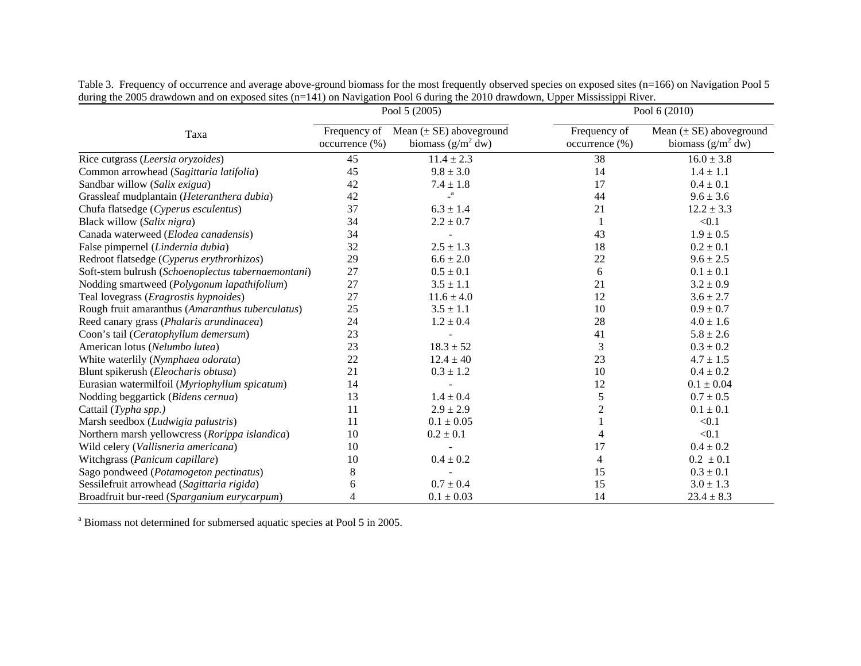|                                                    | Pool 5 (2005)                  |                                                     | Pool 6 (2010)                     |                                                     |
|----------------------------------------------------|--------------------------------|-----------------------------------------------------|-----------------------------------|-----------------------------------------------------|
| Taxa                                               | Frequency of<br>occurrence (%) | Mean $(\pm SE)$ aboveground<br>biomass $(g/m^2 dw)$ | Frequency of<br>$occurrence (\%)$ | Mean $(\pm SE)$ aboveground<br>biomass $(g/m^2 dw)$ |
| Rice cutgrass (Leersia oryzoides)                  | 45                             | $11.4 \pm 2.3$                                      | 38                                | $16.0 \pm 3.8$                                      |
| Common arrowhead (Sagittaria latifolia)            | 45                             | $9.8 \pm 3.0$                                       | 14                                | $1.4 \pm 1.1$                                       |
| Sandbar willow (Salix exigua)                      | 42                             | $7.4 \pm 1.8$                                       | 17                                | $0.4 \pm 0.1$                                       |
| Grassleaf mudplantain (Heteranthera dubia)         | 42                             | $\mathbf{a}$                                        | 44                                | $9.6 \pm 3.6$                                       |
| Chufa flatsedge (Cyperus esculentus)               | 37                             | $6.3\pm1.4$                                         | 21                                | $12.2 \pm 3.3$                                      |
| Black willow (Salix nigra)                         | 34                             | $2.2 \pm 0.7$                                       |                                   | < 0.1                                               |
| Canada waterweed (Elodea canadensis)               | 34                             |                                                     | 43                                | $1.9 \pm 0.5$                                       |
| False pimpernel (Lindernia dubia)                  | 32                             | $2.5 \pm 1.3$                                       | 18                                | $0.2 \pm 0.1$                                       |
| Redroot flatsedge (Cyperus erythrorhizos)          | 29                             | $6.6 \pm 2.0$                                       | $22\,$                            | $9.6 \pm 2.5$                                       |
| Soft-stem bulrush (Schoenoplectus tabernaemontani) | 27                             | $0.5 \pm 0.1$                                       | 6                                 | $0.1 \pm 0.1$                                       |
| Nodding smartweed (Polygonum lapathifolium)        | 27                             | $3.5 \pm 1.1$                                       | 21                                | $3.2 \pm 0.9$                                       |
| Teal lovegrass ( <i>Eragrostis hypnoides</i> )     | 27                             | $11.6 \pm 4.0$                                      | 12                                | $3.6 \pm 2.7$                                       |
| Rough fruit amaranthus (Amaranthus tuberculatus)   | 25                             | $3.5 \pm 1.1$                                       | 10                                | $0.9 \pm 0.7$                                       |
| Reed canary grass (Phalaris arundinacea)           | 24                             | $1.2 \pm 0.4$                                       | 28                                | $4.0 \pm 1.6$                                       |
| Coon's tail (Ceratophyllum demersum)               | 23                             |                                                     | 41                                | $5.8 \pm 2.6$                                       |
| American lotus (Nelumbo lutea)                     | 23                             | $18.3 \pm 52$                                       | 3                                 | $0.3 \pm 0.2$                                       |
| White waterlily (Nymphaea odorata)                 | 22                             | $12.4 \pm 40$                                       | 23                                | $4.7 \pm 1.5$                                       |
| Blunt spikerush (Eleocharis obtusa)                | 21                             | $0.3 \pm 1.2$                                       | 10                                | $0.4 \pm 0.2$                                       |
| Eurasian watermilfoil (Myriophyllum spicatum)      | 14                             |                                                     | 12                                | $0.1 \pm 0.04$                                      |
| Nodding beggartick (Bidens cernua)                 | 13                             | $1.4 \pm 0.4$                                       | 5                                 | $0.7 \pm 0.5$                                       |
| Cattail (Typha spp.)                               | 11                             | $2.9 \pm 2.9$                                       | $\overline{2}$                    | $0.1 \pm 0.1$                                       |
| Marsh seedbox (Ludwigia palustris)                 | 11                             | $0.1 \pm 0.05$                                      |                                   | < 0.1                                               |
| Northern marsh yellowcress (Rorippa islandica)     | 10                             | $0.2 \pm 0.1$                                       |                                   | < 0.1                                               |
| Wild celery (Vallisneria americana)                | 10                             |                                                     | 17                                | $0.4 \pm 0.2$                                       |
| Witchgrass (Panicum capillare)                     | 10                             | $0.4 \pm 0.2$                                       | 4                                 | $0.2 \pm 0.1$                                       |
| Sago pondweed (Potamogeton pectinatus)             | 8                              |                                                     | 15                                | $0.3 \pm 0.1$                                       |
| Sessilefruit arrowhead (Sagittaria rigida)         | 6                              | $0.7 \pm 0.4$                                       | 15                                | $3.0 \pm 1.3$                                       |
| Broadfruit bur-reed (Sparganium eurycarpum)        | 4                              | $0.1 \pm 0.03$                                      | 14                                | $23.4 \pm 8.3$                                      |

Table 3. Frequency of occurrence and average above-ground biomass for the most frequently observed species on exposed sites (n=166) on Navigation Pool 5 during the 2005 drawdown and on exposed sites (n=141) on Navigation Pool 6 during the 2010 drawdown, Upper Mississippi River.

a Biomass not determined for submersed aquatic species at Pool 5 in 2005.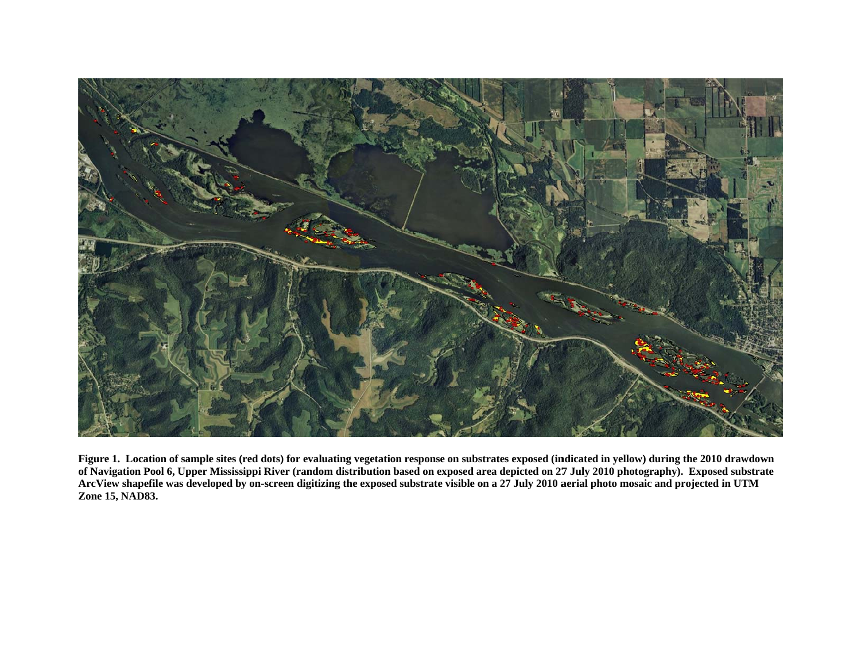

Figure 1. Location of sample sites (red dots) for evaluating vegetation response on substrates exposed (indicated in yellow) during the 2010 drawdown of Navigation Pool 6, Upper Mississippi River (random distribution based on exposed area depicted on 27 July 2010 photography). Exposed substrate ArcView shapefile was developed by on-screen digitizing the exposed substrate visible on a 27 July 2010 aerial photo mosaic and projected in UTM Zone 15, NAD83.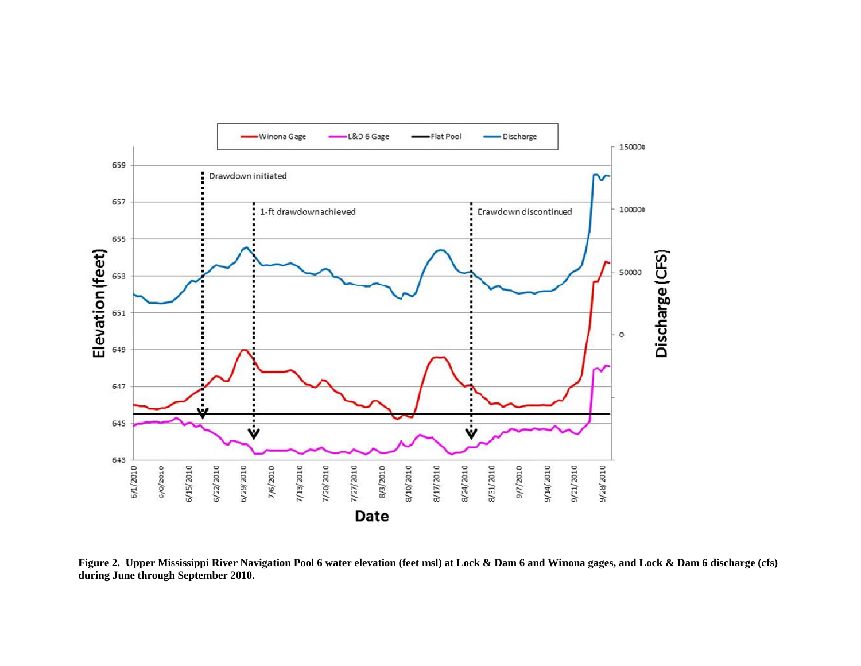

Figure 2. Upper Mississippi River Navigation Pool 6 water elevation (feet msl) at Lock & Dam 6 and Winona gages, and Lock & Dam 6 discharge (cfs) during June through September 2010.